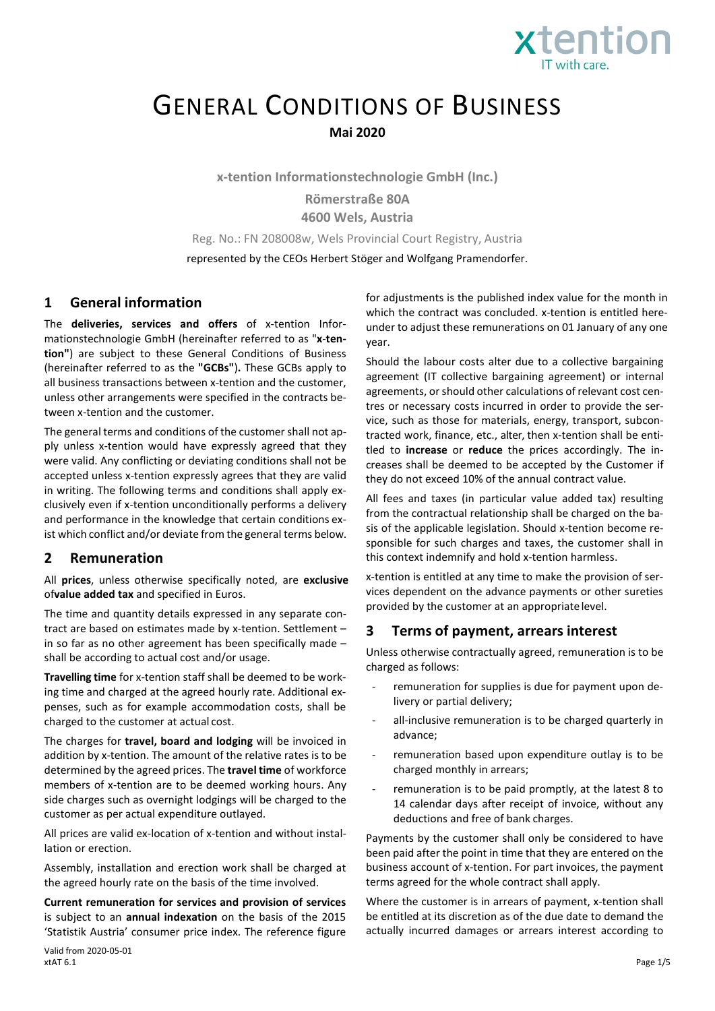

# GENERAL CONDITIONS OF BUSINESS **Mai 2020**

**x-tention Informationstechnologie GmbH (Inc.)**

**Römerstraße 80A 4600 Wels, Austria**

Reg. No.: FN 208008w, Wels Provincial Court Registry, Austria

represented by the CEOs Herbert Stöger and Wolfgang Pramendorfer.

#### **1 General information**

The **deliveries, services and offers** of x-tention Informationstechnologie GmbH (hereinafter referred to as "**x**-**tention"**) are subject to these General Conditions of Business (hereinafter referred to as the **"GCBs"**)**.** These GCBs apply to all business transactions between x-tention and the customer, unless other arrangements were specified in the contracts between x-tention and the customer.

The general terms and conditions of the customer shall not apply unless x-tention would have expressly agreed that they were valid. Any conflicting or deviating conditions shall not be accepted unless x-tention expressly agrees that they are valid in writing. The following terms and conditions shall apply exclusively even if x-tention unconditionally performs a delivery and performance in the knowledge that certain conditions exist which conflict and/or deviate from the general terms below.

#### **2 Remuneration**

All **prices**, unless otherwise specifically noted, are **exclusive**  of**value added tax** and specified in Euros.

The time and quantity details expressed in any separate contract are based on estimates made by x-tention. Settlement – in so far as no other agreement has been specifically made – shall be according to actual cost and/or usage.

**Travelling time** for x-tention staff shall be deemed to be working time and charged at the agreed hourly rate. Additional expenses, such as for example accommodation costs, shall be charged to the customer at actual cost.

The charges for **travel, board and lodging** will be invoiced in addition by x-tention. The amount of the relative rates is to be determined by the agreed prices. The **travel time** of workforce members of x-tention are to be deemed working hours. Any side charges such as overnight lodgings will be charged to the customer as per actual expenditure outlayed.

All prices are valid ex-location of x-tention and without installation or erection.

Assembly, installation and erection work shall be charged at the agreed hourly rate on the basis of the time involved.

**Current remuneration for services and provision of services**  is subject to an **annual indexation** on the basis of the 2015 'Statistik Austria' consumer price index. The reference figure for adjustments is the published index value for the month in which the contract was concluded. x-tention is entitled hereunder to adjust these remunerations on 01 January of any one year.

Should the labour costs alter due to a collective bargaining agreement (IT collective bargaining agreement) or internal agreements, or should other calculations of relevant cost centres or necessary costs incurred in order to provide the service, such as those for materials, energy, transport, subcontracted work, finance, etc., alter, then x-tention shall be entitled to **increase** or **reduce** the prices accordingly. The increases shall be deemed to be accepted by the Customer if they do not exceed 10% of the annual contract value.

All fees and taxes (in particular value added tax) resulting from the contractual relationship shall be charged on the basis of the applicable legislation. Should x-tention become responsible for such charges and taxes, the customer shall in this context indemnify and hold x-tention harmless.

x-tention is entitled at any time to make the provision of services dependent on the advance payments or other sureties provided by the customer at an appropriatelevel.

#### **3 Terms of payment, arrears interest**

Unless otherwise contractually agreed, remuneration is to be charged as follows:

- remuneration for supplies is due for payment upon delivery or partial delivery;
- all-inclusive remuneration is to be charged quarterly in advance;
- remuneration based upon expenditure outlay is to be charged monthly in arrears;
- remuneration is to be paid promptly, at the latest 8 to 14 calendar days after receipt of invoice, without any deductions and free of bank charges.

Payments by the customer shall only be considered to have been paid after the point in time that they are entered on the business account of x-tention. For part invoices, the payment terms agreed for the whole contract shall apply.

Where the customer is in arrears of payment, x-tention shall be entitled at its discretion as of the due date to demand the actually incurred damages or arrears interest according to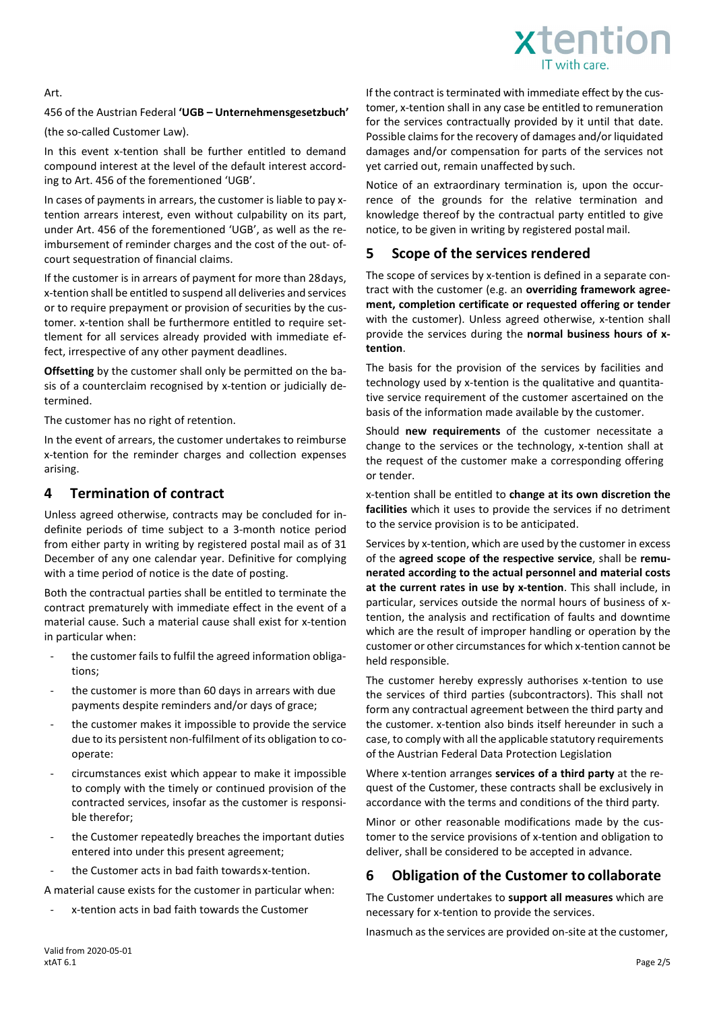

#### Art.

#### 456 of the Austrian Federal **'UGB – Unternehmensgesetzbuch'**

(the so-called Customer Law).

In this event x-tention shall be further entitled to demand compound interest at the level of the default interest according to Art. 456 of the forementioned 'UGB'.

In cases of payments in arrears, the customer is liable to pay xtention arrears interest, even without culpability on its part, under Art. 456 of the forementioned 'UGB', as well as the reimbursement of reminder charges and the cost of the out- ofcourt sequestration of financial claims.

If the customer is in arrears of payment for more than 28days, x-tention shall be entitled to suspend all deliveries and services or to require prepayment or provision of securities by the customer. x-tention shall be furthermore entitled to require settlement for all services already provided with immediate effect, irrespective of any other payment deadlines.

**Offsetting** by the customer shall only be permitted on the basis of a counterclaim recognised by x-tention or judicially determined.

The customer has no right of retention.

In the event of arrears, the customer undertakes to reimburse x-tention for the reminder charges and collection expenses arising.

#### **4 Termination of contract**

Unless agreed otherwise, contracts may be concluded for indefinite periods of time subject to a 3-month notice period from either party in writing by registered postal mail as of 31 December of any one calendar year. Definitive for complying with a time period of notice is the date of posting.

Both the contractual parties shall be entitled to terminate the contract prematurely with immediate effect in the event of a material cause. Such a material cause shall exist for x-tention in particular when:

- the customer fails to fulfil the agreed information obligations;
- the customer is more than 60 days in arrears with due payments despite reminders and/or days of grace;
- the customer makes it impossible to provide the service due to its persistent non-fulfilment of its obligation to cooperate:
- circumstances exist which appear to make it impossible to comply with the timely or continued provision of the contracted services, insofar as the customer is responsible therefor;
- the Customer repeatedly breaches the important duties entered into under this present agreement;
- the Customer acts in bad faith towards x-tention.

A material cause exists for the customer in particular when:

x-tention acts in bad faith towards the Customer

If the contract is terminated with immediate effect by the customer, x-tention shall in any case be entitled to remuneration for the services contractually provided by it until that date. Possible claims for the recovery of damages and/or liquidated damages and/or compensation for parts of the services not yet carried out, remain unaffected by such.

Notice of an extraordinary termination is, upon the occurrence of the grounds for the relative termination and knowledge thereof by the contractual party entitled to give notice, to be given in writing by registered postal mail.

#### **5 Scope of the services rendered**

The scope of services by x-tention is defined in a separate contract with the customer (e.g. an **overriding framework agreement, completion certificate or requested offering or tender**  with the customer). Unless agreed otherwise, x-tention shall provide the services during the **normal business hours of xtention**.

The basis for the provision of the services by facilities and technology used by x-tention is the qualitative and quantitative service requirement of the customer ascertained on the basis of the information made available by the customer.

Should **new requirements** of the customer necessitate a change to the services or the technology, x-tention shall at the request of the customer make a corresponding offering or tender.

x-tention shall be entitled to **change at its own discretion the facilities** which it uses to provide the services if no detriment to the service provision is to be anticipated.

Services by x-tention, which are used by the customer in excess of the **agreed scope of the respective service**, shall be **remunerated according to the actual personnel and material costs at the current rates in use by x-tention**. This shall include, in particular, services outside the normal hours of business of xtention, the analysis and rectification of faults and downtime which are the result of improper handling or operation by the customer or other circumstances for which x-tention cannot be held responsible.

The customer hereby expressly authorises x-tention to use the services of third parties (subcontractors). This shall not form any contractual agreement between the third party and the customer. x-tention also binds itself hereunder in such a case, to comply with all the applicable statutory requirements of the Austrian Federal Data Protection Legislation

Where x-tention arranges **services of a third party** at the request of the Customer, these contracts shall be exclusively in accordance with the terms and conditions of the third party.

Minor or other reasonable modifications made by the customer to the service provisions of x-tention and obligation to deliver, shall be considered to be accepted in advance.

## **6 Obligation of the Customer to collaborate**

The Customer undertakes to **support all measures** which are necessary for x-tention to provide the services.

Inasmuch as the services are provided on-site at the customer,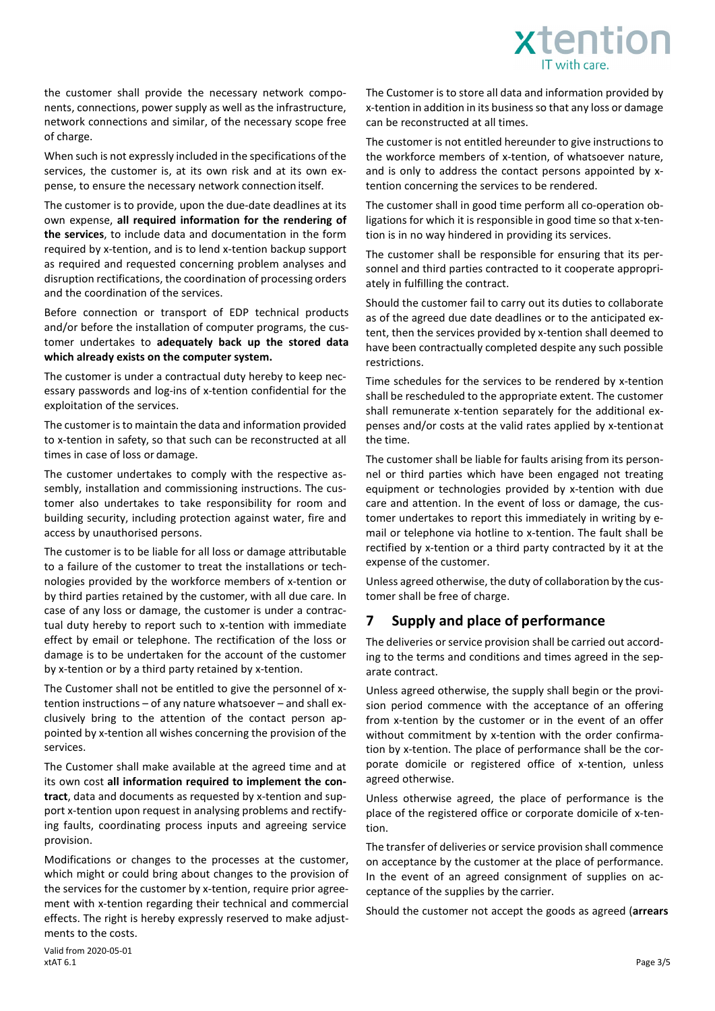

the customer shall provide the necessary network components, connections, power supply as well as the infrastructure, network connections and similar, of the necessary scope free of charge.

When such is not expressly included in the specifications of the services, the customer is, at its own risk and at its own expense, to ensure the necessary network connection itself.

The customer is to provide, upon the due-date deadlines at its own expense, **all required information for the rendering of the services**, to include data and documentation in the form required by x-tention, and is to lend x-tention backup support as required and requested concerning problem analyses and disruption rectifications, the coordination of processing orders and the coordination of the services.

Before connection or transport of EDP technical products and/or before the installation of computer programs, the customer undertakes to **adequately back up the stored data which already exists on the computer system.**

The customer is under a contractual duty hereby to keep necessary passwords and log-ins of x-tention confidential for the exploitation of the services.

The customer is to maintain the data and information provided to x-tention in safety, so that such can be reconstructed at all times in case of loss or damage.

The customer undertakes to comply with the respective assembly, installation and commissioning instructions. The customer also undertakes to take responsibility for room and building security, including protection against water, fire and access by unauthorised persons.

The customer is to be liable for all loss or damage attributable to a failure of the customer to treat the installations or technologies provided by the workforce members of x-tention or by third parties retained by the customer, with all due care. In case of any loss or damage, the customer is under a contractual duty hereby to report such to x-tention with immediate effect by email or telephone. The rectification of the loss or damage is to be undertaken for the account of the customer by x-tention or by a third party retained by x-tention.

The Customer shall not be entitled to give the personnel of xtention instructions – of any nature whatsoever – and shall exclusively bring to the attention of the contact person appointed by x-tention all wishes concerning the provision of the services.

The Customer shall make available at the agreed time and at its own cost **all information required to implement the contract**, data and documents as requested by x-tention and support x-tention upon request in analysing problems and rectifying faults, coordinating process inputs and agreeing service provision.

Modifications or changes to the processes at the customer, which might or could bring about changes to the provision of the services for the customer by x-tention, require prior agreement with x-tention regarding their technical and commercial effects. The right is hereby expressly reserved to make adjustments to the costs.

The Customer is to store all data and information provided by x-tention in addition in its business so that any loss or damage can be reconstructed at all times.

The customer is not entitled hereunder to give instructions to the workforce members of x-tention, of whatsoever nature, and is only to address the contact persons appointed by xtention concerning the services to be rendered.

The customer shall in good time perform all co-operation obligations for which it is responsible in good time so that x-tention is in no way hindered in providing its services.

The customer shall be responsible for ensuring that its personnel and third parties contracted to it cooperate appropriately in fulfilling the contract.

Should the customer fail to carry out its duties to collaborate as of the agreed due date deadlines or to the anticipated extent, then the services provided by x-tention shall deemed to have been contractually completed despite any such possible restrictions.

Time schedules for the services to be rendered by x-tention shall be rescheduled to the appropriate extent. The customer shall remunerate x-tention separately for the additional expenses and/or costs at the valid rates applied by x-tentionat the time.

The customer shall be liable for faults arising from its personnel or third parties which have been engaged not treating equipment or technologies provided by x-tention with due care and attention. In the event of loss or damage, the customer undertakes to report this immediately in writing by email or telephone via hotline to x-tention. The fault shall be rectified by x-tention or a third party contracted by it at the expense of the customer.

Unless agreed otherwise, the duty of collaboration by the customer shall be free of charge.

## **7 Supply and place of performance**

The deliveries or service provision shall be carried out according to the terms and conditions and times agreed in the separate contract.

Unless agreed otherwise, the supply shall begin or the provision period commence with the acceptance of an offering from x-tention by the customer or in the event of an offer without commitment by x-tention with the order confirmation by x-tention. The place of performance shall be the corporate domicile or registered office of x-tention, unless agreed otherwise.

Unless otherwise agreed, the place of performance is the place of the registered office or corporate domicile of x-tention.

The transfer of deliveries or service provision shall commence on acceptance by the customer at the place of performance. In the event of an agreed consignment of supplies on acceptance of the supplies by the carrier.

Should the customer not accept the goods as agreed (**arrears**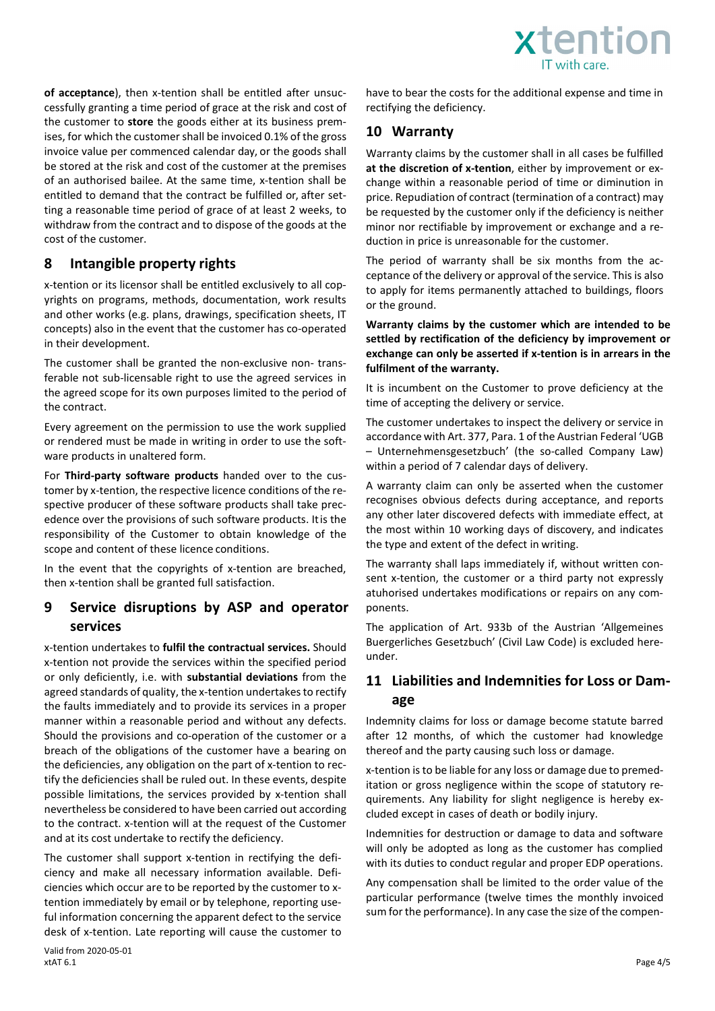

**of acceptance**), then x-tention shall be entitled after unsuccessfully granting a time period of grace at the risk and cost of the customer to **store** the goods either at its business premises, for which the customer shall be invoiced 0.1% of the gross invoice value per commenced calendar day, or the goods shall be stored at the risk and cost of the customer at the premises of an authorised bailee. At the same time, x-tention shall be entitled to demand that the contract be fulfilled or, after setting a reasonable time period of grace of at least 2 weeks, to withdraw from the contract and to dispose of the goods at the cost of the customer.

# **8 Intangible property rights**

x-tention or its licensor shall be entitled exclusively to all copyrights on programs, methods, documentation, work results and other works (e.g. plans, drawings, specification sheets, IT concepts) also in the event that the customer has co-operated in their development.

The customer shall be granted the non-exclusive non- transferable not sub-licensable right to use the agreed services in the agreed scope for its own purposes limited to the period of the contract.

Every agreement on the permission to use the work supplied or rendered must be made in writing in order to use the software products in unaltered form.

For **Third-party software products** handed over to the customer by x-tention, the respective licence conditions of the respective producer of these software products shall take precedence over the provisions of such software products. Itis the responsibility of the Customer to obtain knowledge of the scope and content of these licence conditions.

In the event that the copyrights of x-tention are breached, then x-tention shall be granted full satisfaction.

#### **9 Service disruptions by ASP and operator services**

x-tention undertakes to **fulfil the contractual services.** Should x-tention not provide the services within the specified period or only deficiently, i.e. with **substantial deviations** from the agreed standards of quality, the x-tention undertakes to rectify the faults immediately and to provide its services in a proper manner within a reasonable period and without any defects. Should the provisions and co-operation of the customer or a breach of the obligations of the customer have a bearing on the deficiencies, any obligation on the part of x-tention to rectify the deficiencies shall be ruled out. In these events, despite possible limitations, the services provided by x-tention shall nevertheless be considered to have been carried out according to the contract. x-tention will at the request of the Customer and at its cost undertake to rectify the deficiency.

The customer shall support x-tention in rectifying the deficiency and make all necessary information available. Deficiencies which occur are to be reported by the customer to xtention immediately by email or by telephone, reporting useful information concerning the apparent defect to the service desk of x-tention. Late reporting will cause the customer to have to bear the costs for the additional expense and time in rectifying the deficiency.

## **10 Warranty**

Warranty claims by the customer shall in all cases be fulfilled **at the discretion of x-tention**, either by improvement or exchange within a reasonable period of time or diminution in price. Repudiation of contract (termination of a contract) may be requested by the customer only if the deficiency is neither minor nor rectifiable by improvement or exchange and a reduction in price is unreasonable for the customer.

The period of warranty shall be six months from the acceptance of the delivery or approval of the service. This is also to apply for items permanently attached to buildings, floors or the ground.

**Warranty claims by the customer which are intended to be settled by rectification of the deficiency by improvement or exchange can only be asserted if x-tention is in arrears in the fulfilment of the warranty.**

It is incumbent on the Customer to prove deficiency at the time of accepting the delivery or service.

The customer undertakes to inspect the delivery or service in accordance with Art. 377, Para. 1 of the Austrian Federal 'UGB – Unternehmensgesetzbuch' (the so-called Company Law) within a period of 7 calendar days of delivery.

A warranty claim can only be asserted when the customer recognises obvious defects during acceptance, and reports any other later discovered defects with immediate effect, at the most within 10 working days of discovery, and indicates the type and extent of the defect in writing.

The warranty shall laps immediately if, without written consent x-tention, the customer or a third party not expressly atuhorised undertakes modifications or repairs on any components.

The application of Art. 933b of the Austrian 'Allgemeines Buergerliches Gesetzbuch' (Civil Law Code) is excluded hereunder.

## **11 Liabilities and Indemnities for Loss or Damage**

Indemnity claims for loss or damage become statute barred after 12 months, of which the customer had knowledge thereof and the party causing such loss or damage.

x-tention is to be liable for any loss or damage due to premeditation or gross negligence within the scope of statutory requirements. Any liability for slight negligence is hereby excluded except in cases of death or bodily injury.

Indemnities for destruction or damage to data and software will only be adopted as long as the customer has complied with its duties to conduct regular and proper EDP operations.

Any compensation shall be limited to the order value of the particular performance (twelve times the monthly invoiced sum for the performance). In any case the size of the compen-